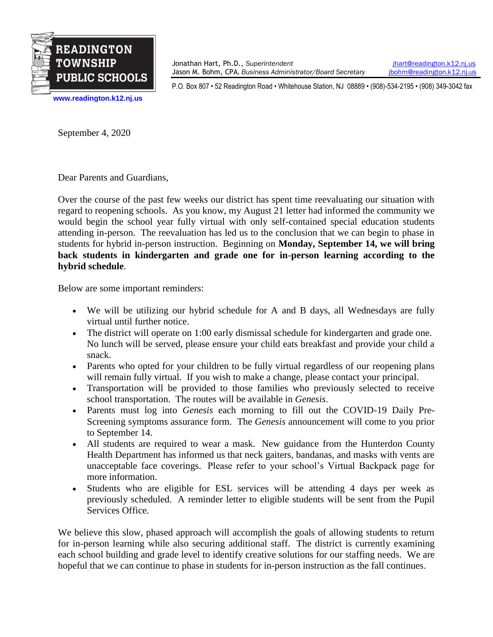

Jonathan Hart, Ph.D., *Superintendent* [jhart@readington.k12.nj.us](mailto:jhart@readington.k12.nj.us) Jason M. Bohm, CPA, *Business Administrator/Board Secretary ibohm@readington.k12.ni.us* 

P.O. Box 807 • 52 Readington Road • Whitehouse Station, NJ 08889 • (908)-534-2195 • (908) 349-3042 fax

**[www.readington.k12.nj.us](http://www.readington.k12.nj.us/)**

September 4, 2020

Dear Parents and Guardians,

Over the course of the past few weeks our district has spent time reevaluating our situation with regard to reopening schools. As you know, my August 21 letter had informed the community we would begin the school year fully virtual with only self-contained special education students attending in-person. The reevaluation has led us to the conclusion that we can begin to phase in students for hybrid in-person instruction. Beginning on **Monday, September 14, we will bring back students in kindergarten and grade one for in-person learning according to the hybrid schedule**.

Below are some important reminders:

- We will be utilizing our hybrid schedule for A and B days, all Wednesdays are fully virtual until further notice.
- The district will operate on 1:00 early dismissal schedule for kindergarten and grade one. No lunch will be served, please ensure your child eats breakfast and provide your child a snack.
- Parents who opted for your children to be fully virtual regardless of our reopening plans will remain fully virtual. If you wish to make a change, please contact your principal.
- Transportation will be provided to those families who previously selected to receive school transportation. The routes will be available in *Genesis*.
- Parents must log into *Genesis* each morning to fill out the COVID-19 Daily Pre-Screening symptoms assurance form. The *Genesis* announcement will come to you prior to September 14.
- All students are required to wear a mask. New guidance from the Hunterdon County Health Department has informed us that neck gaiters, bandanas, and masks with vents are unacceptable face coverings. Please refer to your school's Virtual Backpack page for more information.
- Students who are eligible for ESL services will be attending 4 days per week as previously scheduled. A reminder letter to eligible students will be sent from the Pupil Services Office.

We believe this slow, phased approach will accomplish the goals of allowing students to return for in-person learning while also securing additional staff. The district is currently examining each school building and grade level to identify creative solutions for our staffing needs. We are hopeful that we can continue to phase in students for in-person instruction as the fall continues.